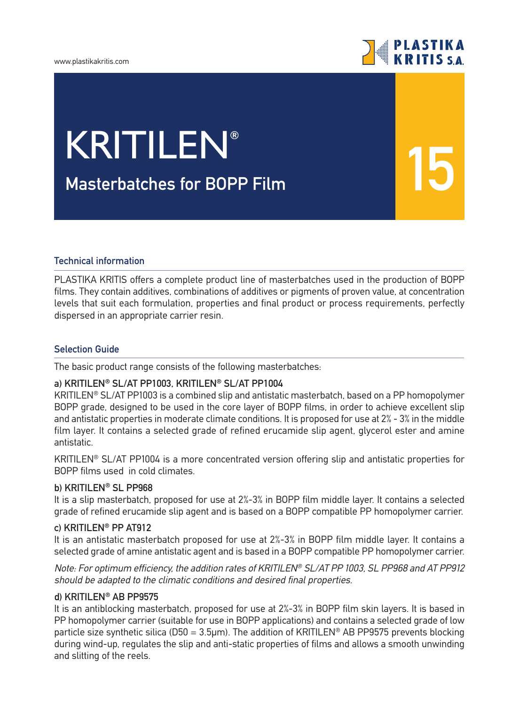

**15**

# **Masterbatches for BOPP Film** KRITILEN**®**

### **Technical information**

PLASTIKA KRITIS offers a complete product line of masterbatches used in the production of BOPP films. They contain additives, combinations of additives or pigments of proven value, at concentration levels that suit each formulation, properties and final product or process requirements, perfectly dispersed in an appropriate carrier resin.

#### **Selection Guide**

The basic product range consists of the following masterbatches:

# **a) KRITILEN® SL/AT PP1003, KRITILEN® SL/AT PP1004**

KRITILEN® SL/AT PP1003 is a combined slip and antistatic masterbatch, based on a PP homopolymer BOPP grade, designed to be used in the core layer of BOPP films, in order to achieve excellent slip and antistatic properties in moderate climate conditions. It is proposed for use at 2% - 3% in the middle film layer. It contains a selected grade of refined erucamide slip agent, glycerol ester and amine antistatic.

KRITILEN® SL/AT PP1004 is a more concentrated version offering slip and antistatic properties for BOPP films used in cold climates.

### **b) KRITILEN® SL PP968**

It is a slip masterbatch, proposed for use at 2%-3% in BOPP film middle layer. It contains a selected grade of refined erucamide slip agent and is based on a BOPP compatible PP homopolymer carrier.

# **c) KRITILEN® PP AT912**

It is an antistatic masterbatch proposed for use at 2%-3% in BOPP film middle layer. It contains a selected grade of amine antistatic agent and is based in a BOPP compatible PP homopolymer carrier.

Note: For optimum efficiency, the addition rates of KRITILEN® SL/AT PP 1003, SL PP968 and AT PP912 should be adapted to the climatic conditions and desired final properties.

#### **d) KRITILEN® AB PP9575**

It is an antiblocking masterbatch, proposed for use at 2%-3% in BOPP film skin layers. It is based in PP homopolymer carrier (suitable for use in BOPP applications) and contains a selected grade of low particle size synthetic silica (D50 = 3.5µm). The addition of KRITILEN® AB PP9575 prevents blocking during wind-up, regulates the slip and anti-static properties of films and allows a smooth unwinding and slitting of the reels.